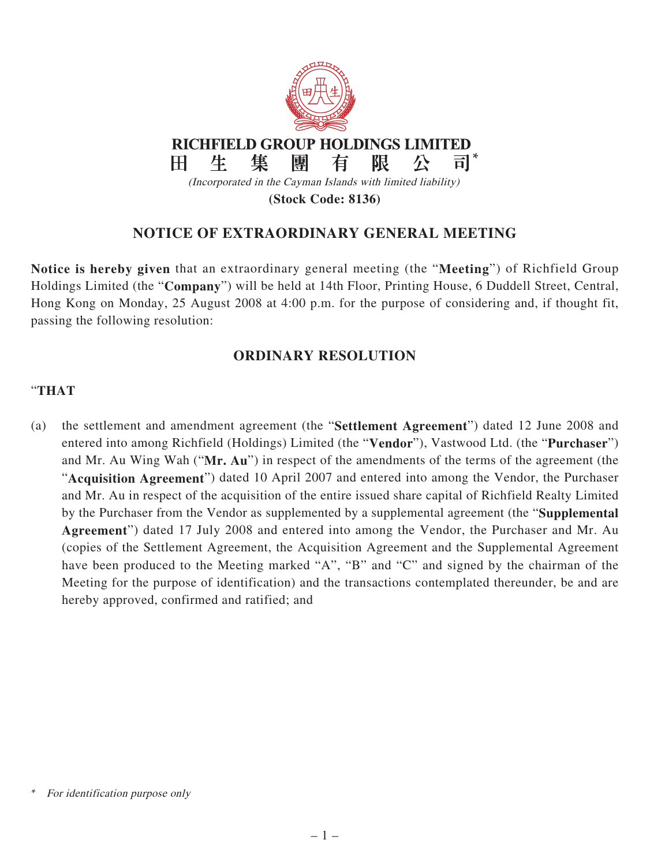

## **NOTICE OF EXTRAORDINARY GENERAL MEETING**

**Notice is hereby given** that an extraordinary general meeting (the "**Meeting**") of Richfield Group Holdings Limited (the "**Company**") will be held at 14th Floor, Printing House, 6 Duddell Street, Central, Hong Kong on Monday, 25 August 2008 at 4:00 p.m. for the purpose of considering and, if thought fit, passing the following resolution:

## **ORDINARY RESOLUTION**

## "**THAT**

(a) the settlement and amendment agreement (the "**Settlement Agreement**") dated 12 June 2008 and entered into among Richfield (Holdings) Limited (the "**Vendor**"), Vastwood Ltd. (the "**Purchaser**") and Mr. Au Wing Wah ("**Mr. Au**") in respect of the amendments of the terms of the agreement (the "**Acquisition Agreement**") dated 10 April 2007 and entered into among the Vendor, the Purchaser and Mr. Au in respect of the acquisition of the entire issued share capital of Richfield Realty Limited by the Purchaser from the Vendor as supplemented by a supplemental agreement (the "**Supplemental Agreement**") dated 17 July 2008 and entered into among the Vendor, the Purchaser and Mr. Au (copies of the Settlement Agreement, the Acquisition Agreement and the Supplemental Agreement have been produced to the Meeting marked "A", "B" and "C" and signed by the chairman of the Meeting for the purpose of identification) and the transactions contemplated thereunder, be and are hereby approved, confirmed and ratified; and

For identification purpose only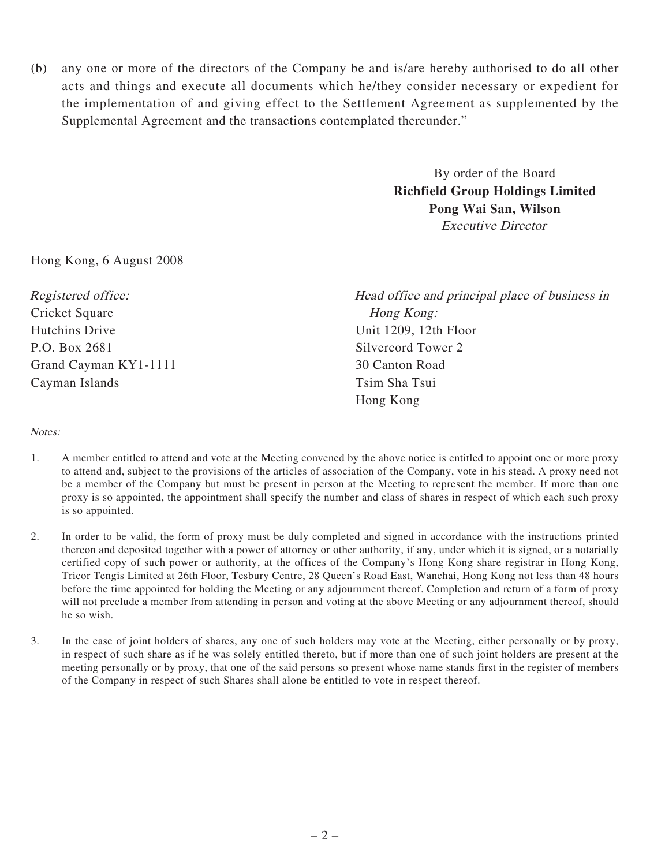(b) any one or more of the directors of the Company be and is/are hereby authorised to do all other acts and things and execute all documents which he/they consider necessary or expedient for the implementation of and giving effect to the Settlement Agreement as supplemented by the Supplemental Agreement and the transactions contemplated thereunder."

> By order of the Board **Richfield Group Holdings Limited Pong Wai San, Wilson** Executive Director

Hong Kong, 6 August 2008

Cricket Square Hong Kong: Hutchins Drive Unit 1209, 12th Floor P.O. Box 2681 Silvercord Tower 2 Grand Cayman KY1-1111 30 Canton Road Cayman Islands Tsim Sha Tsui

Registered office: Head office and principal place of business in Hong Kong

## Notes:

- 1. A member entitled to attend and vote at the Meeting convened by the above notice is entitled to appoint one or more proxy to attend and, subject to the provisions of the articles of association of the Company, vote in his stead. A proxy need not be a member of the Company but must be present in person at the Meeting to represent the member. If more than one proxy is so appointed, the appointment shall specify the number and class of shares in respect of which each such proxy is so appointed.
- 2. In order to be valid, the form of proxy must be duly completed and signed in accordance with the instructions printed thereon and deposited together with a power of attorney or other authority, if any, under which it is signed, or a notarially certified copy of such power or authority, at the offices of the Company's Hong Kong share registrar in Hong Kong, Tricor Tengis Limited at 26th Floor, Tesbury Centre, 28 Queen's Road East, Wanchai, Hong Kong not less than 48 hours before the time appointed for holding the Meeting or any adjournment thereof. Completion and return of a form of proxy will not preclude a member from attending in person and voting at the above Meeting or any adjournment thereof, should he so wish.
- 3. In the case of joint holders of shares, any one of such holders may vote at the Meeting, either personally or by proxy, in respect of such share as if he was solely entitled thereto, but if more than one of such joint holders are present at the meeting personally or by proxy, that one of the said persons so present whose name stands first in the register of members of the Company in respect of such Shares shall alone be entitled to vote in respect thereof.